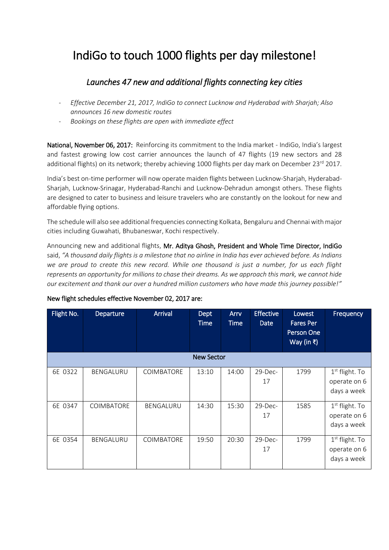## IndiGo to touch 1000 flights per day milestone!

## *Launches 47 new and additional flights connecting key cities*

- *Effective December 21, 2017, IndiGo to connect Lucknow and Hyderabad with Sharjah; Also announces 16 new domestic routes*
- *Bookings on these flights are open with immediate effect*

National, November 06, 2017: Reinforcing its commitment to the India market - IndiGo, India's largest and fastest growing low cost carrier announces the launch of 47 flights (19 new sectors and 28 additional flights) on its network; thereby achieving 1000 flights per day mark on December 23<sup>rd</sup> 2017.

India's best on-time performer will now operate maiden flights between Lucknow-Sharjah, Hyderabad-Sharjah, Lucknow-Srinagar, Hyderabad-Ranchi and Lucknow-Dehradun amongst others. These flights are designed to cater to business and leisure travelers who are constantly on the lookout for new and affordable flying options.

The schedule will also see additional frequencies connecting Kolkata, Bengaluru and Chennai with major cities including Guwahati, Bhubaneswar, Kochi respectively.

Announcing new and additional flights, Mr. Aditya Ghosh, President and Whole Time Director, IndiGo said, *"A thousand daily flights is a milestone that no airline in India has ever achieved before. As Indians we are proud to create this new record. While one thousand is just a number, for us each flight represents an opportunity for millions to chase their dreams. As we approach this mark, we cannot hide our excitement and thank our over a hundred million customers who have made this journey possible!"*

| Flight No. | Departure         | <b>Arrival</b>    | Dept<br><b>Time</b> | Arry<br><b>Time</b> | <b>Effective</b><br>Date | Lowest<br><b>Fares Per</b><br>Person One<br>Way (in ₹) | Frequency                                                 |  |  |
|------------|-------------------|-------------------|---------------------|---------------------|--------------------------|--------------------------------------------------------|-----------------------------------------------------------|--|--|
|            | <b>New Sector</b> |                   |                     |                     |                          |                                                        |                                                           |  |  |
| 6E 0322    | BENGALURU         | <b>COIMBATORE</b> | 13:10               | 14:00               | $29$ -Dec-<br>17         | 1799                                                   | 1 <sup>st</sup> flight. To<br>operate on 6<br>days a week |  |  |
| 6E 0347    | <b>COIMBATORE</b> | BENGALURU         | 14:30               | 15:30               | $29$ -Dec-<br>17         | 1585                                                   | $1st$ flight. To<br>operate on 6<br>days a week           |  |  |
| 6E 0354    | BENGALURU         | <b>COIMBATORE</b> | 19:50               | 20:30               | $29$ -Dec-<br>17         | 1799                                                   | 1 <sup>st</sup> flight. To<br>operate on 6<br>days a week |  |  |

## New flight schedules effective November 02, 2017 are: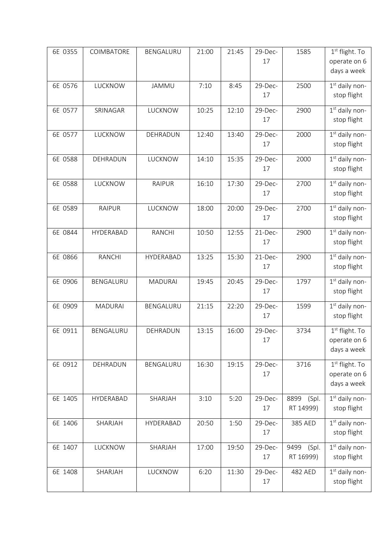| 6E 0355 | COIMBATORE     | BENGALURU      | 21:00 | 21:45 | 29-Dec-<br>17 | 1585                       | 1 <sup>st</sup> flight. To<br>operate on 6<br>days a week |
|---------|----------------|----------------|-------|-------|---------------|----------------------------|-----------------------------------------------------------|
| 6E 0576 | LUCKNOW        | JAMMU          | 7:10  | 8:45  | 29-Dec-<br>17 | 2500                       | 1 <sup>st</sup> daily non-<br>stop flight                 |
| 6E 0577 | SRINAGAR       | LUCKNOW        | 10:25 | 12:10 | 29-Dec-<br>17 | 2900                       | 1 <sup>st</sup> daily non-<br>stop flight                 |
| 6E 0577 | LUCKNOW        | DEHRADUN       | 12:40 | 13:40 | 29-Dec-<br>17 | 2000                       | 1st daily non-<br>stop flight                             |
| 6E 0588 | DEHRADUN       | LUCKNOW        | 14:10 | 15:35 | 29-Dec-<br>17 | 2000                       | 1st daily non-<br>stop flight                             |
| 6E 0588 | LUCKNOW        | <b>RAIPUR</b>  | 16:10 | 17:30 | 29-Dec-<br>17 | 2700                       | 1st daily non-<br>stop flight                             |
| 6E 0589 | <b>RAIPUR</b>  | LUCKNOW        | 18:00 | 20:00 | 29-Dec-<br>17 | 2700                       | $1st$ daily non-<br>stop flight                           |
| 6E 0844 | HYDERABAD      | <b>RANCHI</b>  | 10:50 | 12:55 | 21-Dec-<br>17 | 2900                       | $1st$ daily non-<br>stop flight                           |
| 6E 0866 | <b>RANCHI</b>  | HYDERABAD      | 13:25 | 15:30 | 21-Dec-<br>17 | 2900                       | 1 <sup>st</sup> daily non-<br>stop flight                 |
| 6E 0906 | BENGALURU      | <b>MADURAI</b> | 19:45 | 20:45 | 29-Dec-<br>17 | 1797                       | 1st daily non-<br>stop flight                             |
| 6E 0909 | <b>MADURAI</b> | BENGALURU      | 21:15 | 22:20 | 29-Dec-<br>17 | 1599                       | 1st daily non-<br>stop flight                             |
| 6E 0911 | BENGALURU      | DEHRADUN       | 13:15 | 16:00 | 29-Dec-<br>17 | 3734                       | 1 <sup>st</sup> flight. To<br>operate on 6<br>days a week |
| 6E 0912 | DEHRADUN       | BENGALURU      | 16:30 | 19:15 | 29-Dec-<br>17 | 3716                       | 1 <sup>st</sup> flight. To<br>operate on 6<br>days a week |
| 6E 1405 | HYDERABAD      | SHARJAH        | 3:10  | 5:20  | 29-Dec-<br>17 | 8899<br>(Spl.<br>RT 14999) | 1st daily non-<br>stop flight                             |
| 6E 1406 | SHARJAH        | HYDERABAD      | 20:50 | 1:50  | 29-Dec-<br>17 | 385 AED                    | 1st daily non-<br>stop flight                             |
| 6E 1407 | LUCKNOW        | SHARJAH        | 17:00 | 19:50 | 29-Dec-<br>17 | (Spl.<br>9499<br>RT 16999) | 1 <sup>st</sup> daily non-<br>stop flight                 |
| 6E 1408 | SHARJAH        | LUCKNOW        | 6:20  | 11:30 | 29-Dec-<br>17 | 482 AED                    | 1 <sup>st</sup> daily non-<br>stop flight                 |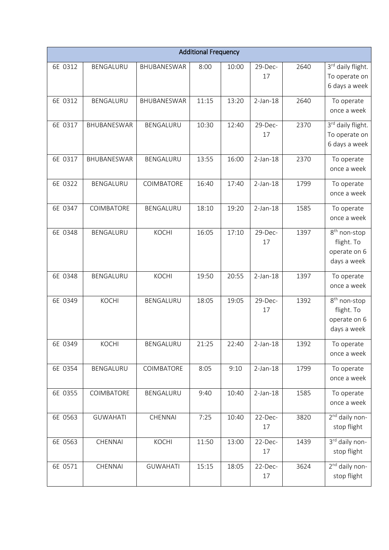| <b>Additional Frequency</b> |                 |                 |       |       |               |      |                                                                       |
|-----------------------------|-----------------|-----------------|-------|-------|---------------|------|-----------------------------------------------------------------------|
| 6E 0312                     | BENGALURU       | BHUBANESWAR     | 8:00  | 10:00 | 29-Dec-<br>17 | 2640 | 3rd daily flight.<br>To operate on<br>6 days a week                   |
| 6E 0312                     | BENGALURU       | BHUBANESWAR     | 11:15 | 13:20 | $2-Jan-18$    | 2640 | To operate<br>once a week                                             |
| 6E 0317                     | BHUBANESWAR     | BENGALURU       | 10:30 | 12:40 | 29-Dec-<br>17 | 2370 | 3rd daily flight.<br>To operate on<br>6 days a week                   |
| 6E 0317                     | BHUBANESWAR     | BENGALURU       | 13:55 | 16:00 | $2-Jan-18$    | 2370 | To operate<br>once a week                                             |
| 6E 0322                     | BENGALURU       | COIMBATORE      | 16:40 | 17:40 | $2-Jan-18$    | 1799 | To operate<br>once a week                                             |
| 6E 0347                     | COIMBATORE      | BENGALURU       | 18:10 | 19:20 | $2-Jan-18$    | 1585 | To operate<br>once a week                                             |
| 6E 0348                     | BENGALURU       | <b>KOCHI</b>    | 16:05 | 17:10 | 29-Dec-<br>17 | 1397 | 8 <sup>th</sup> non-stop<br>flight. To<br>operate on 6<br>days a week |
| 6E 0348                     | BENGALURU       | <b>KOCHI</b>    | 19:50 | 20:55 | $2-Jan-18$    | 1397 | To operate<br>once a week                                             |
| 6E 0349                     | KOCHI           | BENGALURU       | 18:05 | 19:05 | 29-Dec-<br>17 | 1392 | 8 <sup>th</sup> non-stop<br>flight. To<br>operate on 6<br>days a week |
| 6E 0349                     | KOCHI           | BENGALURU       | 21:25 | 22:40 | $2-Jan-18$    | 1392 | To operate<br>once a week                                             |
| 6E 0354                     | BENGALURU       | COIMBATORE      | 8:05  | 9:10  | $2-Jan-18$    | 1799 | To operate<br>once a week                                             |
| 6E 0355                     | COIMBATORE      | BENGALURU       | 9:40  | 10:40 | $2-Jan-18$    | 1585 | To operate<br>once a week                                             |
| 6E 0563                     | <b>GUWAHATI</b> | CHENNAI         | 7:25  | 10:40 | 22-Dec-<br>17 | 3820 | $2nd$ daily non-<br>stop flight                                       |
| 6E 0563                     | CHENNAI         | KOCHI           | 11:50 | 13:00 | 22-Dec-<br>17 | 1439 | 3rd daily non-<br>stop flight                                         |
| 6E 0571                     | CHENNAI         | <b>GUWAHATI</b> | 15:15 | 18:05 | 22-Dec-<br>17 | 3624 | 2 <sup>nd</sup> daily non-<br>stop flight                             |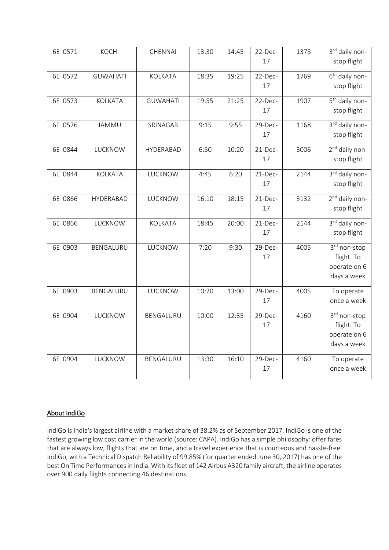| 6E 0571 | KOCHI           | CHENNAI         | 13:30 | 14:45 | 22-Dec-<br>17 | 1378 | 3rd daily non-<br>stop flight                             |
|---------|-----------------|-----------------|-------|-------|---------------|------|-----------------------------------------------------------|
| 6E 0572 | <b>GUWAHATI</b> | <b>KOLKATA</b>  | 18:35 | 19:25 | 22-Dec-<br>17 | 1769 | 6 <sup>th</sup> daily non-<br>stop flight                 |
| 6E 0573 | KOLKATA         | <b>GUWAHATI</b> | 19:55 | 21:25 | 22-Dec-<br>17 | 1907 | 5 <sup>th</sup> daily non-<br>stop flight                 |
| 6E 0576 | JAMMU           | SRINAGAR        | 9:15  | 9:55  | 29-Dec-<br>17 | 1168 | 3rd daily non-<br>stop flight                             |
| 6E 0844 | LUCKNOW         | HYDERABAD       | 6:50  | 10:20 | 21-Dec-<br>17 | 3006 | 2 <sup>nd</sup> daily non-<br>stop flight                 |
| 6E 0844 | KOLKATA         | LUCKNOW         | 4:45  | 6:20  | 21-Dec-<br>17 | 2144 | 3rd daily non-<br>stop flight                             |
| 6E 0866 | HYDERABAD       | LUCKNOW         | 16:10 | 18:15 | 21-Dec-<br>17 | 3132 | 2 <sup>nd</sup> daily non-<br>stop flight                 |
| 6E 0866 | LUCKNOW         | KOLKATA         | 18:45 | 20:00 | 21-Dec-<br>17 | 2144 | 3rd daily non-<br>stop flight                             |
| 6E 0903 | BENGALURU       | LUCKNOW         | 7:20  | 9:30  | 29-Dec-<br>17 | 4005 | 3rd non-stop<br>flight. To<br>operate on 6<br>days a week |
| 6E 0903 | BENGALURU       | LUCKNOW         | 10:20 | 13:00 | 29-Dec-<br>17 | 4005 | To operate<br>once a week                                 |
| 6E 0904 | LUCKNOW         | BENGALURU       | 10:00 | 12:35 | 29-Dec-<br>17 | 4160 | 3rd non-stop<br>flight. To<br>operate on 6<br>days a week |
| 6E 0904 | LUCKNOW         | BENGALURU       | 13:30 | 16:10 | 29-Dec-<br>17 | 4160 | To operate<br>once a week                                 |

## About IndiGo

IndiGo is India's largest airline with a market share of 38.2% as of September 2017. IndiGo is one of the fastest growing low cost carrier in the world (source: CAPA). IndiGo has a simple philosophy: offer fares that are always low, flights that are on time, and a travel experience that is courteous and hassle-free. IndiGo, with a Technical Dispatch Reliability of 99.85% (for quarter ended June 30, 2017) has one of the best On Time Performancesin India. With its fleet of 142 Airbus A320 family aircraft, the airline operates over 900 daily flights connecting 46 destinations.